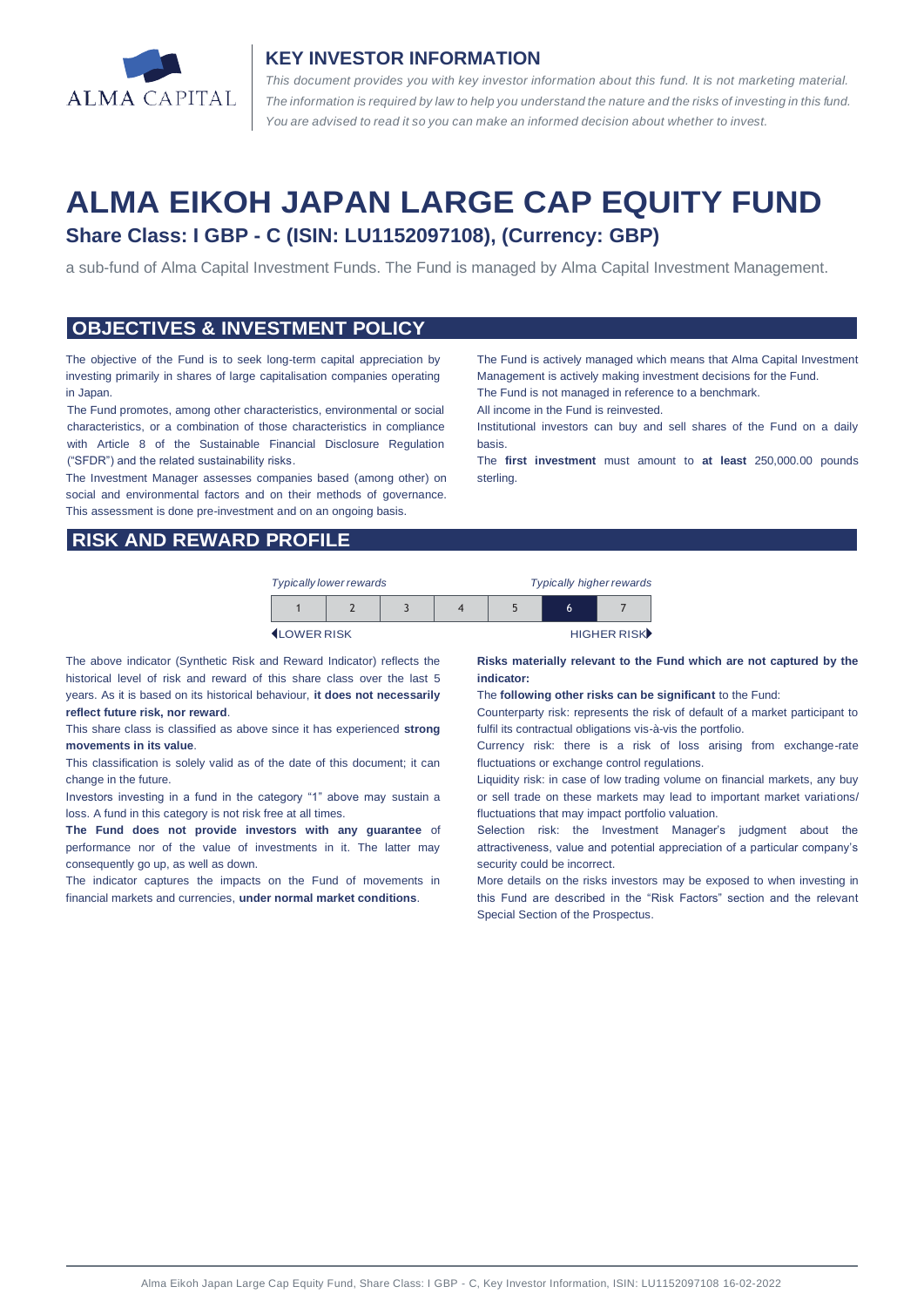

#### **KEY INVESTOR INFORMATION**

*This document provides you with key investor information about this fund. It is not marketing material.*  The information is required by law to help you understand the nature and the risks of investing in this fund. *You are advised to read it so you can make an informed decision about whether to invest.*

# **ALMA EIKOH JAPAN LARGE CAP EQUITY FUND Share Class: I GBP - C (ISIN: LU1152097108), (Currency: GBP)**

a sub-fund of Alma Capital Investment Funds. The Fund is managed by Alma Capital Investment Management.

#### **OBJECTIVES & INVESTMENT POLICY**

The objective of the Fund is to seek long-term capital appreciation by investing primarily in shares of large capitalisation companies operating in Japan.

The Fund promotes, among other characteristics, environmental or social characteristics, or a combination of those characteristics in compliance with Article 8 of the Sustainable Financial Disclosure Regulation ("SFDR") and the related sustainability risks.

The Investment Manager assesses companies based (among other) on social and environmental factors and on their methods of governance. This assessment is done pre-investment and on an ongoing basis.

**RISK AND REWARD PROFILE**

| <b>Typically lower rewards</b> |  | <b>Typically higher rewards</b> |  |   |             |
|--------------------------------|--|---------------------------------|--|---|-------------|
|                                |  |                                 |  | h |             |
| <b>ILOWER RISK</b>             |  |                                 |  |   | HIGHER RISK |

The above indicator (Synthetic Risk and Reward Indicator) reflects the historical level of risk and reward of this share class over the last 5 years. As it is based on its historical behaviour, **it does not necessarily reflect future risk, nor reward**.

This share class is classified as above since it has experienced **strong movements in its value**.

This classification is solely valid as of the date of this document; it can change in the future.

Investors investing in a fund in the category "1" above may sustain a loss. A fund in this category is not risk free at all times.

**The Fund does not provide investors with any guarantee** of performance nor of the value of investments in it. The latter may consequently go up, as well as down.

The indicator captures the impacts on the Fund of movements in financial markets and currencies, **under normal market conditions**.

The Fund is actively managed which means that Alma Capital Investment Management is actively making investment decisions for the Fund. The Fund is not managed in reference to a benchmark.

All income in the Fund is reinvested.

Institutional investors can buy and sell shares of the Fund on a daily basis.

The **first investment** must amount to **at least** 250,000.00 pounds sterling.

**Risks materially relevant to the Fund which are not captured by the indicator:** 

The **following other risks can be significant** to the Fund:

Counterparty risk: represents the risk of default of a market participant to fulfil its contractual obligations vis-à-vis the portfolio.

Currency risk: there is a risk of loss arising from exchange-rate fluctuations or exchange control regulations.

Liquidity risk: in case of low trading volume on financial markets, any buy or sell trade on these markets may lead to important market variations/ fluctuations that may impact portfolio valuation.

Selection risk: the Investment Manager's judgment about the attractiveness, value and potential appreciation of a particular company's security could be incorrect.

More details on the risks investors may be exposed to when investing in this Fund are described in the "Risk Factors" section and the relevant Special Section of the Prospectus.